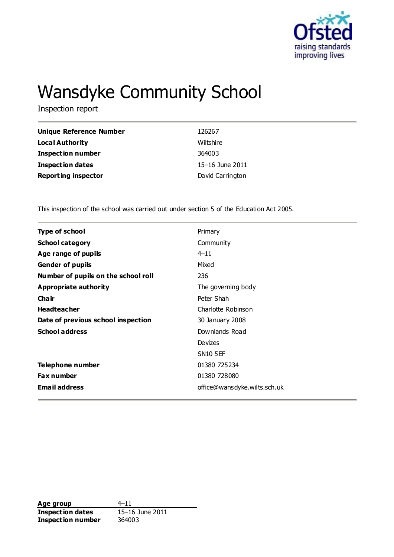

# Wansdyke Community School

Inspection report

| Unique Reference Number    | 126267           |
|----------------------------|------------------|
| <b>Local Authority</b>     | Wiltshire        |
| <b>Inspection number</b>   | 364003           |
| <b>Inspection dates</b>    | 15–16 June 2011  |
| <b>Reporting inspector</b> | David Carrington |

This inspection of the school was carried out under section 5 of the Education Act 2005.

| <b>Type of school</b>               | Primary                      |
|-------------------------------------|------------------------------|
| <b>School category</b>              | Community                    |
| Age range of pupils                 | $4 - 11$                     |
| <b>Gender of pupils</b>             | Mixed                        |
| Number of pupils on the school roll | 236                          |
| Appropriate authority               | The governing body           |
| Cha ir                              | Peter Shah                   |
| <b>Headteacher</b>                  | Charlotte Robinson           |
| Date of previous school inspection  | 30 January 2008              |
| <b>School address</b>               | Downlands Road               |
|                                     | Devizes                      |
|                                     | <b>SN10 5EF</b>              |
| Telephone number                    | 01380 725234                 |
| <b>Fax number</b>                   | 01380 728080                 |
| <b>Email address</b>                | office@wansdyke.wilts.sch.uk |
|                                     |                              |

**Age group** 4–11<br> **Inspection dates** 15–16 June 2011 **Inspection dates Inspection number** 364003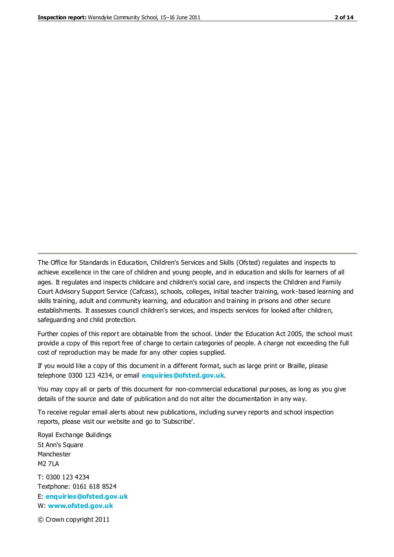The Office for Standards in Education, Children's Services and Skills (Ofsted) regulates and inspects to achieve excellence in the care of children and young people, and in education and skills for learners of all ages. It regulates and inspects childcare and children's social care, and inspects the Children and Family Court Advisory Support Service (Cafcass), schools, colleges, initial teacher training, work-based learning and skills training, adult and community learning, and education and training in prisons and other secure establishments. It assesses council children's services, and inspects services for looked after children, safeguarding and child protection.

Further copies of this report are obtainable from the school. Under the Education Act 2005, the school must provide a copy of this report free of charge to certain categories of people. A charge not exceeding the full cost of reproduction may be made for any other copies supplied.

If you would like a copy of this document in a different format, such as large print or Braille, please telephone 0300 123 4234, or email **[enquiries@ofsted.gov.uk](mailto:enquiries@ofsted.gov.uk)**.

You may copy all or parts of this document for non-commercial educational purposes, as long as you give details of the source and date of publication and do not alter the documentation in any way.

To receive regular email alerts about new publications, including survey reports and school inspection reports, please visit our website and go to 'Subscribe'.

Royal Exchange Buildings St Ann's Square Manchester M2 7LA T: 0300 123 4234 Textphone: 0161 618 8524 E: **[enquiries@ofsted.gov.uk](mailto:enquiries@ofsted.gov.uk)**

W: **[www.ofsted.gov.uk](http://www.ofsted.gov.uk/)**

© Crown copyright 2011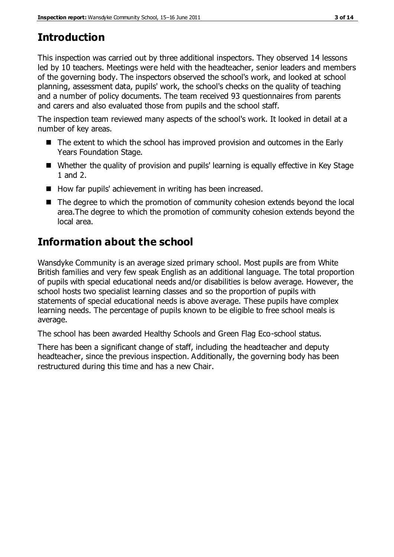# **Introduction**

This inspection was carried out by three additional inspectors. They observed 14 lessons led by 10 teachers. Meetings were held with the headteacher, senior leaders and members of the governing body. The inspectors observed the school's work, and looked at school planning, assessment data, pupils' work, the school's checks on the quality of teaching and a number of policy documents. The team received 93 questionnaires from parents and carers and also evaluated those from pupils and the school staff.

The inspection team reviewed many aspects of the school's work. It looked in detail at a number of key areas.

- The extent to which the school has improved provision and outcomes in the Early Years Foundation Stage.
- Whether the quality of provision and pupils' learning is equally effective in Key Stage 1 and 2.
- How far pupils' achievement in writing has been increased.
- The degree to which the promotion of community cohesion extends beyond the local area.The degree to which the promotion of community cohesion extends beyond the local area.

# **Information about the school**

Wansdyke Community is an average sized primary school. Most pupils are from White British families and very few speak English as an additional language. The total proportion of pupils with special educational needs and/or disabilities is below average. However, the school hosts two specialist learning classes and so the proportion of pupils with statements of special educational needs is above average. These pupils have complex learning needs. The percentage of pupils known to be eligible to free school meals is average.

The school has been awarded Healthy Schools and Green Flag Eco-school status.

There has been a significant change of staff, including the headteacher and deputy headteacher, since the previous inspection. Additionally, the governing body has been restructured during this time and has a new Chair.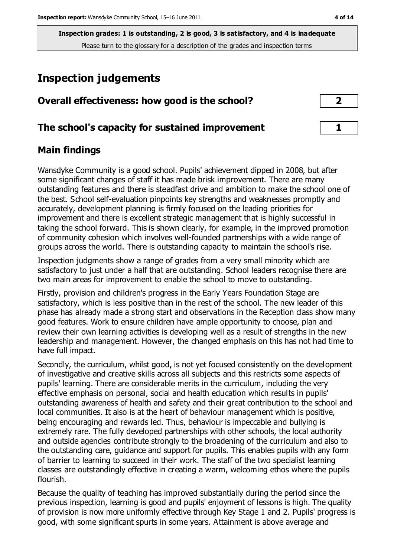# **Inspection judgements**

| Overall effectiveness: how good is the school?  |  |
|-------------------------------------------------|--|
| The school's capacity for sustained improvement |  |

# **Main findings**

Wansdyke Community is a good school. Pupils' achievement dipped in 2008, but after some significant changes of staff it has made brisk improvement. There are many outstanding features and there is steadfast drive and ambition to make the school one of the best. School self-evaluation pinpoints key strengths and weaknesses promptly and accurately, development planning is firmly focused on the leading priorities for improvement and there is excellent strategic management that is highly successful in taking the school forward. This is shown clearly, for example, in the improved promotion of community cohesion which involves well-founded partnerships with a wide range of groups across the world. There is outstanding capacity to maintain the school's rise.

Inspection judgments show a range of grades from a very small minority which are satisfactory to just under a half that are outstanding. School leaders recognise there are two main areas for improvement to enable the school to move to outstanding.

Firstly, provision and children's progress in the Early Years Foundation Stage are satisfactory, which is less positive than in the rest of the school. The new leader of this phase has already made a strong start and observations in the Reception class show many good features. Work to ensure children have ample opportunity to choose, plan and review their own learning activities is developing well as a result of strengths in the new leadership and management. However, the changed emphasis on this has not had time to have full impact.

Secondly, the curriculum, whilst good, is not yet focused consistently on the development of investigative and creative skills across all subjects and this restricts some aspects of pupils' learning. There are considerable merits in the curriculum, including the very effective emphasis on personal, social and health education which results in pupils' outstanding awareness of health and safety and their great contribution to the school and local communities. It also is at the heart of behaviour management which is positive, being encouraging and rewards led. Thus, behaviour is impeccable and bullying is extremely rare. The fully developed partnerships with other schools, the local authority and outside agencies contribute strongly to the broadening of the curriculum and also to the outstanding care, guidance and support for pupils. This enables pupils with any form of barrier to learning to succeed in their work. The staff of the two specialist learning classes are outstandingly effective in creating a warm, welcoming ethos where the pupils flourish.

Because the quality of teaching has improved substantially during the period since the previous inspection, learning is good and pupils' enjoyment of lessons is high. The quality of provision is now more uniformly effective through Key Stage 1 and 2. Pupils' progress is good, with some significant spurts in some years. Attainment is above average and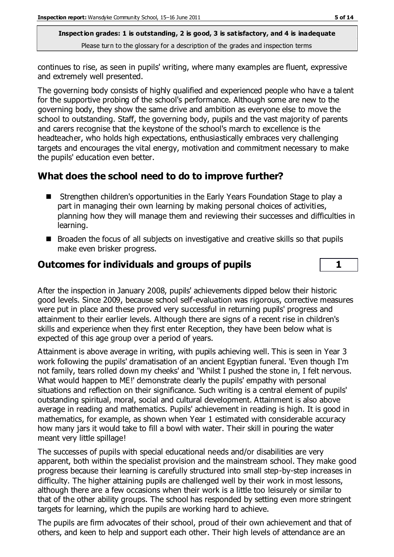continues to rise, as seen in pupils' writing, where many examples are fluent, expressive and extremely well presented.

The governing body consists of highly qualified and experienced people who have a talent for the supportive probing of the school's performance. Although some are new to the governing body, they show the same drive and ambition as everyone else to move the school to outstanding. Staff, the governing body, pupils and the vast majority of parents and carers recognise that the keystone of the school's march to excellence is the headteacher, who holds high expectations, enthusiastically embraces very challenging targets and encourages the vital energy, motivation and commitment necessary to make the pupils' education even better.

## **What does the school need to do to improve further?**

- Strengthen children's opportunities in the Early Years Foundation Stage to play a part in managing their own learning by making personal choices of activities, planning how they will manage them and reviewing their successes and difficulties in learning.
- $\blacksquare$  Broaden the focus of all subjects on investigative and creative skills so that pupils make even brisker progress.

#### **Outcomes for individuals and groups of pupils 1**

After the inspection in January 2008, pupils' achievements dipped below their historic good levels. Since 2009, because school self-evaluation was rigorous, corrective measures were put in place and these proved very successful in returning pupils' progress and attainment to their earlier levels. Although there are signs of a recent rise in children's skills and experience when they first enter Reception, they have been below what is expected of this age group over a period of years.

Attainment is above average in writing, with pupils achieving well. This is seen in Year 3 work following the pupils' dramatisation of an ancient Egyptian funeral. 'Even though I'm not family, tears rolled down my cheeks' and 'Whilst I pushed the stone in, I felt nervous. What would happen to ME!' demonstrate clearly the pupils' empathy with personal situations and reflection on their significance. Such writing is a central element of pupils' outstanding spiritual, moral, social and cultural development. Attainment is also above average in reading and mathematics. Pupils' achievement in reading is high. It is good in mathematics, for example, as shown when Year 1 estimated with considerable accuracy how many jars it would take to fill a bowl with water. Their skill in pouring the water meant very little spillage!

The successes of pupils with special educational needs and/or disabilities are very apparent, both within the specialist provision and the mainstream school. They make good progress because their learning is carefully structured into small step-by-step increases in difficulty. The higher attaining pupils are challenged well by their work in most lessons, although there are a few occasions when their work is a little too leisurely or similar to that of the other ability groups. The school has responded by setting even more stringent targets for learning, which the pupils are working hard to achieve.

The pupils are firm advocates of their school, proud of their own achievement and that of others, and keen to help and support each other. Their high levels of attendance are an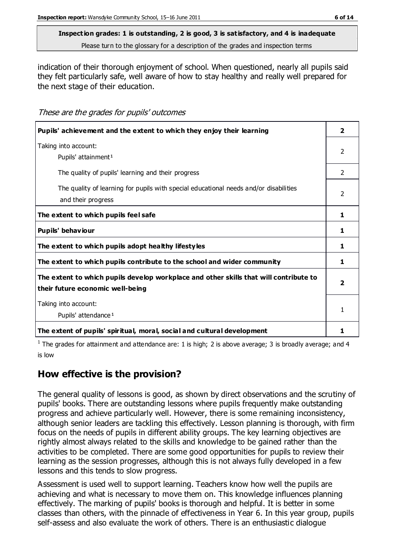indication of their thorough enjoyment of school. When questioned, nearly all pupils said they felt particularly safe, well aware of how to stay healthy and really well prepared for the next stage of their education.

These are the grades for pupils' outcomes

| Pupils' achievement and the extent to which they enjoy their learning                                                     | $\overline{\mathbf{2}}$  |
|---------------------------------------------------------------------------------------------------------------------------|--------------------------|
| Taking into account:<br>Pupils' attainment <sup>1</sup>                                                                   | 2                        |
| The quality of pupils' learning and their progress                                                                        | 2                        |
| The quality of learning for pupils with special educational needs and/or disabilities<br>and their progress               | $\overline{\phantom{0}}$ |
| The extent to which pupils feel safe                                                                                      | 1                        |
| Pupils' behaviour                                                                                                         | 1                        |
| The extent to which pupils adopt healthy lifestyles                                                                       | 1                        |
| The extent to which pupils contribute to the school and wider community                                                   | 1                        |
| The extent to which pupils develop workplace and other skills that will contribute to<br>their future economic well-being |                          |
| Taking into account:<br>Pupils' attendance <sup>1</sup>                                                                   | 1                        |
| The extent of pupils' spiritual, moral, social and cultural development                                                   | 1                        |

<sup>1</sup> The grades for attainment and attendance are: 1 is high; 2 is above average; 3 is broadly average; and 4 is low

# **How effective is the provision?**

The general quality of lessons is good, as shown by direct observations and the scrutiny of pupils' books. There are outstanding lessons where pupils frequently make outstanding progress and achieve particularly well. However, there is some remaining inconsistency, although senior leaders are tackling this effectively. Lesson planning is thorough, with firm focus on the needs of pupils in different ability groups. The key learning objectives are rightly almost always related to the skills and knowledge to be gained rather than the activities to be completed. There are some good opportunities for pupils to review their learning as the session progresses, although this is not always fully developed in a few lessons and this tends to slow progress.

Assessment is used well to support learning. Teachers know how well the pupils are achieving and what is necessary to move them on. This knowledge influences planning effectively. The marking of pupils' books is thorough and helpful. It is better in some classes than others, with the pinnacle of effectiveness in Year 6. In this year group, pupils self-assess and also evaluate the work of others. There is an enthusiastic dialogue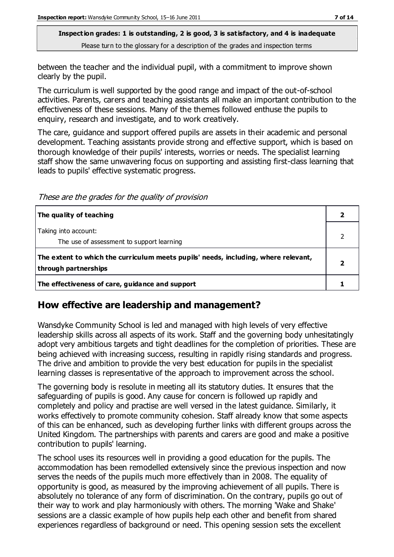between the teacher and the individual pupil, with a commitment to improve shown clearly by the pupil.

The curriculum is well supported by the good range and impact of the out-of-school activities. Parents, carers and teaching assistants all make an important contribution to the effectiveness of these sessions. Many of the themes followed enthuse the pupils to enquiry, research and investigate, and to work creatively.

The care, guidance and support offered pupils are assets in their academic and personal development. Teaching assistants provide strong and effective support, which is based on thorough knowledge of their pupils' interests, worries or needs. The specialist learning staff show the same unwavering focus on supporting and assisting first-class learning that leads to pupils' effective systematic progress.

These are the grades for the quality of provision

| The quality of teaching                                                                                    |  |
|------------------------------------------------------------------------------------------------------------|--|
| Taking into account:<br>The use of assessment to support learning                                          |  |
| The extent to which the curriculum meets pupils' needs, including, where relevant,<br>through partnerships |  |
| The effectiveness of care, guidance and support                                                            |  |

## **How effective are leadership and management?**

Wansdyke Community School is led and managed with high levels of very effective leadership skills across all aspects of its work. Staff and the governing body unhesitatingly adopt very ambitious targets and tight deadlines for the completion of priorities. These are being achieved with increasing success, resulting in rapidly rising standards and progress. The drive and ambition to provide the very best education for pupils in the specialist learning classes is representative of the approach to improvement across the school.

The governing body is resolute in meeting all its statutory duties. It ensures that the safeguarding of pupils is good. Any cause for concern is followed up rapidly and completely and policy and practise are well versed in the latest guidance. Similarly, it works effectively to promote community cohesion. Staff already know that some aspects of this can be enhanced, such as developing further links with different groups across the United Kingdom. The partnerships with parents and carers are good and make a positive contribution to pupils' learning.

The school uses its resources well in providing a good education for the pupils. The accommodation has been remodelled extensively since the previous inspection and now serves the needs of the pupils much more effectively than in 2008. The equality of opportunity is good, as measured by the improving achievement of all pupils. There is absolutely no tolerance of any form of discrimination. On the contrary, pupils go out of their way to work and play harmoniously with others. The morning 'Wake and Shake' sessions are a classic example of how pupils help each other and benefit from shared experiences regardless of background or need. This opening session sets the excellent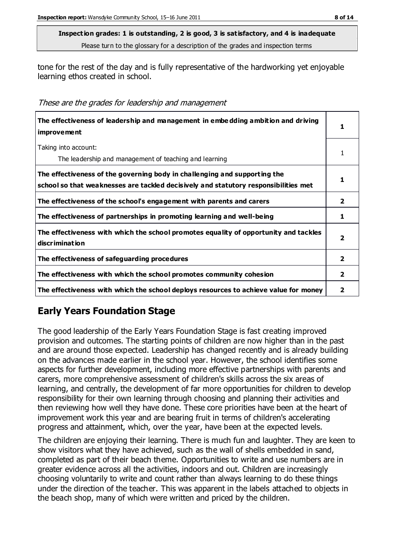tone for the rest of the day and is fully representative of the hardworking yet enjoyable learning ethos created in school.

These are the grades for leadership and management

| The effectiveness of leadership and management in embedding ambition and driving<br>improvement                                                                  |                |
|------------------------------------------------------------------------------------------------------------------------------------------------------------------|----------------|
| Taking into account:<br>The leadership and management of teaching and learning                                                                                   |                |
| The effectiveness of the governing body in challenging and supporting the<br>school so that weaknesses are tackled decisively and statutory responsibilities met |                |
| The effectiveness of the school's engagement with parents and carers                                                                                             | $\overline{2}$ |
| The effectiveness of partnerships in promoting learning and well-being                                                                                           | 1              |
| The effectiveness with which the school promotes equality of opportunity and tackles<br>discrimination                                                           | 2              |
| The effectiveness of safeguarding procedures                                                                                                                     | 2              |
| The effectiveness with which the school promotes community cohesion                                                                                              | $\overline{2}$ |
| The effectiveness with which the school deploys resources to achieve value for money                                                                             | 2              |

# **Early Years Foundation Stage**

The good leadership of the Early Years Foundation Stage is fast creating improved provision and outcomes. The starting points of children are now higher than in the past and are around those expected. Leadership has changed recently and is already building on the advances made earlier in the school year. However, the school identifies some aspects for further development, including more effective partnerships with parents and carers, more comprehensive assessment of children's skills across the six areas of learning, and centrally, the development of far more opportunities for children to develop responsibility for their own learning through choosing and planning their activities and then reviewing how well they have done. These core priorities have been at the heart of improvement work this year and are bearing fruit in terms of children's accelerating progress and attainment, which, over the year, have been at the expected levels.

The children are enjoying their learning. There is much fun and laughter. They are keen to show visitors what they have achieved, such as the wall of shells embedded in sand, completed as part of their beach theme. Opportunities to write and use numbers are in greater evidence across all the activities, indoors and out. Children are increasingly choosing voluntarily to write and count rather than always learning to do these things under the direction of the teacher. This was apparent in the labels attached to objects in the beach shop, many of which were written and priced by the children.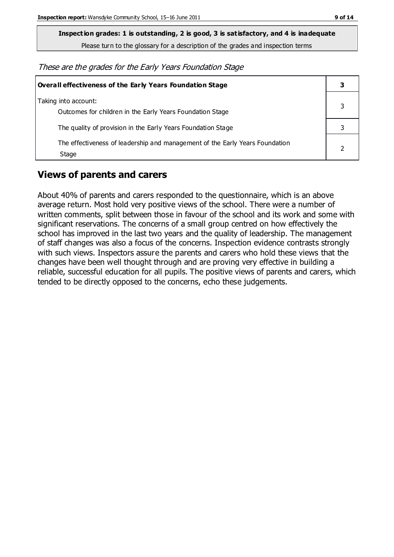**Inspection grades: 1 is outstanding, 2 is good, 3 is satisfactory, and 4 is inadequate**

Please turn to the glossary for a description of the grades and inspection terms

These are the grades for the Early Years Foundation Stage

| <b>Overall effectiveness of the Early Years Foundation Stage</b>                      |  |
|---------------------------------------------------------------------------------------|--|
| Taking into account:<br>Outcomes for children in the Early Years Foundation Stage     |  |
| The quality of provision in the Early Years Foundation Stage                          |  |
| The effectiveness of leadership and management of the Early Years Foundation<br>Stage |  |

# **Views of parents and carers**

About 40% of parents and carers responded to the questionnaire, which is an above average return. Most hold very positive views of the school. There were a number of written comments, split between those in favour of the school and its work and some with significant reservations. The concerns of a small group centred on how effectively the school has improved in the last two years and the quality of leadership. The management of staff changes was also a focus of the concerns. Inspection evidence contrasts strongly with such views. Inspectors assure the parents and carers who hold these views that the changes have been well thought through and are proving very effective in building a reliable, successful education for all pupils. The positive views of parents and carers, which tended to be directly opposed to the concerns, echo these judgements.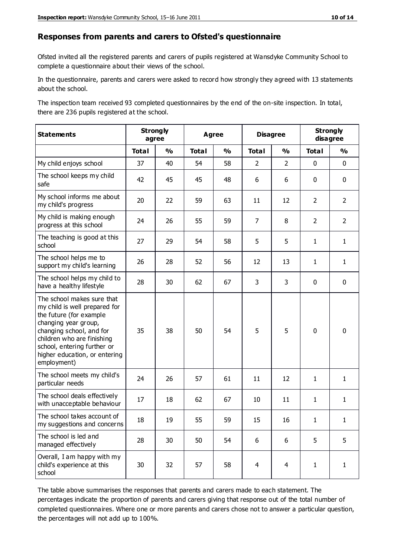#### **Responses from parents and carers to Ofsted's questionnaire**

Ofsted invited all the registered parents and carers of pupils registered at Wansdyke Community School to complete a questionnaire about their views of the school.

In the questionnaire, parents and carers were asked to record how strongly they agreed with 13 statements about the school.

The inspection team received 93 completed questionnaires by the end of the on-site inspection. In total, there are 236 pupils registered at the school.

| <b>Statements</b>                                                                                                                                                                                                                                       | <b>Strongly</b><br>agree |               | <b>Agree</b> |               | <b>Disagree</b> | <b>Strongly</b><br>disagree |                |                |
|---------------------------------------------------------------------------------------------------------------------------------------------------------------------------------------------------------------------------------------------------------|--------------------------|---------------|--------------|---------------|-----------------|-----------------------------|----------------|----------------|
|                                                                                                                                                                                                                                                         | <b>Total</b>             | $\frac{0}{0}$ | <b>Total</b> | $\frac{0}{0}$ | <b>Total</b>    | $\frac{0}{0}$               | <b>Total</b>   | $\frac{0}{0}$  |
| My child enjoys school                                                                                                                                                                                                                                  | 37                       | 40            | 54           | 58            | $\overline{2}$  | $\overline{2}$              | 0              | $\mathbf 0$    |
| The school keeps my child<br>safe                                                                                                                                                                                                                       | 42                       | 45            | 45           | 48            | 6               | 6                           | $\mathbf 0$    | $\mathbf 0$    |
| My school informs me about<br>my child's progress                                                                                                                                                                                                       | 20                       | 22            | 59           | 63            | 11              | 12                          | $\overline{2}$ | $\overline{2}$ |
| My child is making enough<br>progress at this school                                                                                                                                                                                                    | 24                       | 26            | 55           | 59            | $\overline{7}$  | 8                           | $\overline{2}$ | $\overline{2}$ |
| The teaching is good at this<br>school                                                                                                                                                                                                                  | 27                       | 29            | 54           | 58            | 5               | 5                           | $\mathbf{1}$   | $\mathbf{1}$   |
| The school helps me to<br>support my child's learning                                                                                                                                                                                                   | 26                       | 28            | 52           | 56            | 12              | 13                          | $\mathbf{1}$   | $\mathbf{1}$   |
| The school helps my child to<br>have a healthy lifestyle                                                                                                                                                                                                | 28                       | 30            | 62           | 67            | 3               | 3                           | $\mathbf 0$    | $\mathbf 0$    |
| The school makes sure that<br>my child is well prepared for<br>the future (for example<br>changing year group,<br>changing school, and for<br>children who are finishing<br>school, entering further or<br>higher education, or entering<br>employment) | 35                       | 38            | 50           | 54            | 5               | 5                           | $\mathbf 0$    | $\mathbf 0$    |
| The school meets my child's<br>particular needs                                                                                                                                                                                                         | 24                       | 26            | 57           | 61            | 11              | 12                          | $\mathbf{1}$   | $\mathbf{1}$   |
| The school deals effectively<br>with unacceptable behaviour                                                                                                                                                                                             | 17                       | 18            | 62           | 67            | 10              | 11                          | $\mathbf{1}$   | $\mathbf{1}$   |
| The school takes account of<br>my suggestions and concerns                                                                                                                                                                                              | 18                       | 19            | 55           | 59            | 15              | 16                          | 1              | 1              |
| The school is led and<br>managed effectively                                                                                                                                                                                                            | 28                       | 30            | 50           | 54            | 6               | 6                           | 5              | 5              |
| Overall, I am happy with my<br>child's experience at this<br>school                                                                                                                                                                                     | 30                       | 32            | 57           | 58            | $\overline{4}$  | $\overline{4}$              | $\mathbf{1}$   | $\mathbf 1$    |

The table above summarises the responses that parents and carers made to each statement. The percentages indicate the proportion of parents and carers giving that response out of the total number of completed questionnaires. Where one or more parents and carers chose not to answer a particular question, the percentages will not add up to 100%.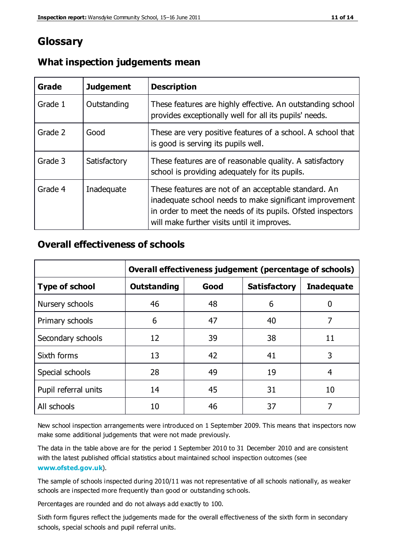# **Glossary**

| Grade   | <b>Judgement</b> | <b>Description</b>                                                                                                                                                                                                            |
|---------|------------------|-------------------------------------------------------------------------------------------------------------------------------------------------------------------------------------------------------------------------------|
| Grade 1 | Outstanding      | These features are highly effective. An outstanding school<br>provides exceptionally well for all its pupils' needs.                                                                                                          |
| Grade 2 | Good             | These are very positive features of a school. A school that<br>is good is serving its pupils well.                                                                                                                            |
| Grade 3 | Satisfactory     | These features are of reasonable quality. A satisfactory<br>school is providing adequately for its pupils.                                                                                                                    |
| Grade 4 | Inadequate       | These features are not of an acceptable standard. An<br>inadequate school needs to make significant improvement<br>in order to meet the needs of its pupils. Ofsted inspectors<br>will make further visits until it improves. |

#### **What inspection judgements mean**

## **Overall effectiveness of schools**

|                       | Overall effectiveness judgement (percentage of schools) |      |                     |                   |
|-----------------------|---------------------------------------------------------|------|---------------------|-------------------|
| <b>Type of school</b> | <b>Outstanding</b>                                      | Good | <b>Satisfactory</b> | <b>Inadequate</b> |
| Nursery schools       | 46                                                      | 48   | 6                   |                   |
| Primary schools       | 6                                                       | 47   | 40                  | 7                 |
| Secondary schools     | 12                                                      | 39   | 38                  | 11                |
| Sixth forms           | 13                                                      | 42   | 41                  | 3                 |
| Special schools       | 28                                                      | 49   | 19                  | 4                 |
| Pupil referral units  | 14                                                      | 45   | 31                  | 10                |
| All schools           | 10                                                      | 46   | 37                  |                   |

New school inspection arrangements were introduced on 1 September 2009. This means that inspectors now make some additional judgements that were not made previously.

The data in the table above are for the period 1 September 2010 to 31 December 2010 and are consistent with the latest published official statistics about maintained school inspection outcomes (see **[www.ofsted.gov.uk](http://www.ofsted.gov.uk/)**).

The sample of schools inspected during 2010/11 was not representative of all schools nationally, as weaker schools are inspected more frequently than good or outstanding schools.

Percentages are rounded and do not always add exactly to 100.

Sixth form figures reflect the judgements made for the overall effectiveness of the sixth form in secondary schools, special schools and pupil referral units.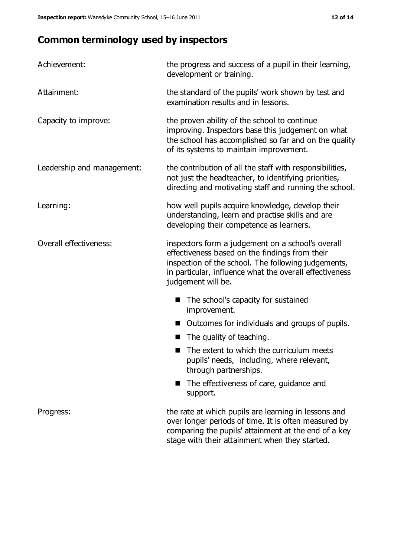# **Common terminology used by inspectors**

| Achievement:                  | the progress and success of a pupil in their learning,<br>development or training.                                                                                                                                                          |  |  |
|-------------------------------|---------------------------------------------------------------------------------------------------------------------------------------------------------------------------------------------------------------------------------------------|--|--|
| Attainment:                   | the standard of the pupils' work shown by test and<br>examination results and in lessons.                                                                                                                                                   |  |  |
| Capacity to improve:          | the proven ability of the school to continue<br>improving. Inspectors base this judgement on what<br>the school has accomplished so far and on the quality<br>of its systems to maintain improvement.                                       |  |  |
| Leadership and management:    | the contribution of all the staff with responsibilities,<br>not just the headteacher, to identifying priorities,<br>directing and motivating staff and running the school.                                                                  |  |  |
| Learning:                     | how well pupils acquire knowledge, develop their<br>understanding, learn and practise skills and are<br>developing their competence as learners.                                                                                            |  |  |
| <b>Overall effectiveness:</b> | inspectors form a judgement on a school's overall<br>effectiveness based on the findings from their<br>inspection of the school. The following judgements,<br>in particular, influence what the overall effectiveness<br>judgement will be. |  |  |
|                               | The school's capacity for sustained<br>improvement.                                                                                                                                                                                         |  |  |
|                               | Outcomes for individuals and groups of pupils.                                                                                                                                                                                              |  |  |
|                               | The quality of teaching.                                                                                                                                                                                                                    |  |  |
|                               | The extent to which the curriculum meets<br>pupils' needs, including, where relevant,<br>through partnerships.                                                                                                                              |  |  |
|                               | The effectiveness of care, guidance and<br>support.                                                                                                                                                                                         |  |  |
| Progress:                     | the rate at which pupils are learning in lessons and<br>over longer periods of time. It is often measured by<br>comparing the pupils' attainment at the end of a key                                                                        |  |  |

stage with their attainment when they started.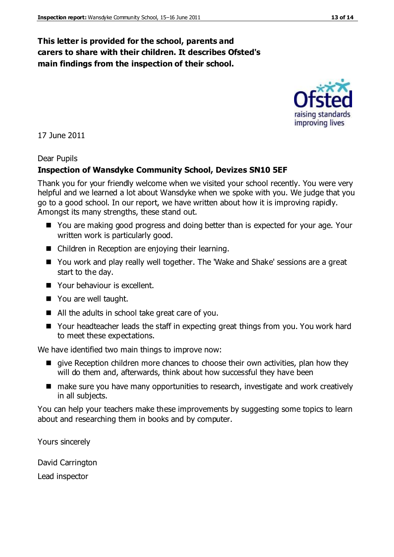## **This letter is provided for the school, parents and carers to share with their children. It describes Ofsted's main findings from the inspection of their school.**

#### 17 June 2011

#### Dear Pupils

#### **Inspection of Wansdyke Community School, Devizes SN10 5EF**

Thank you for your friendly welcome when we visited your school recently. You were very helpful and we learned a lot about Wansdyke when we spoke with you. We judge that you go to a good school. In our report, we have written about how it is improving rapidly. Amongst its many strengths, these stand out.

- You are making good progress and doing better than is expected for your age. Your written work is particularly good.
- Children in Reception are enjoying their learning.
- You work and play really well together. The 'Wake and Shake' sessions are a great start to the day.
- **Nour behaviour is excellent.**
- You are well taught.
- All the adults in school take great care of you.
- Your headteacher leads the staff in expecting great things from you. You work hard to meet these expectations.

We have identified two main things to improve now:

- give Reception children more chances to choose their own activities, plan how they will do them and, afterwards, think about how successful they have been
- make sure you have many opportunities to research, investigate and work creatively in all subjects.

You can help your teachers make these improvements by suggesting some topics to learn about and researching them in books and by computer.

Yours sincerely

David Carrington Lead inspector